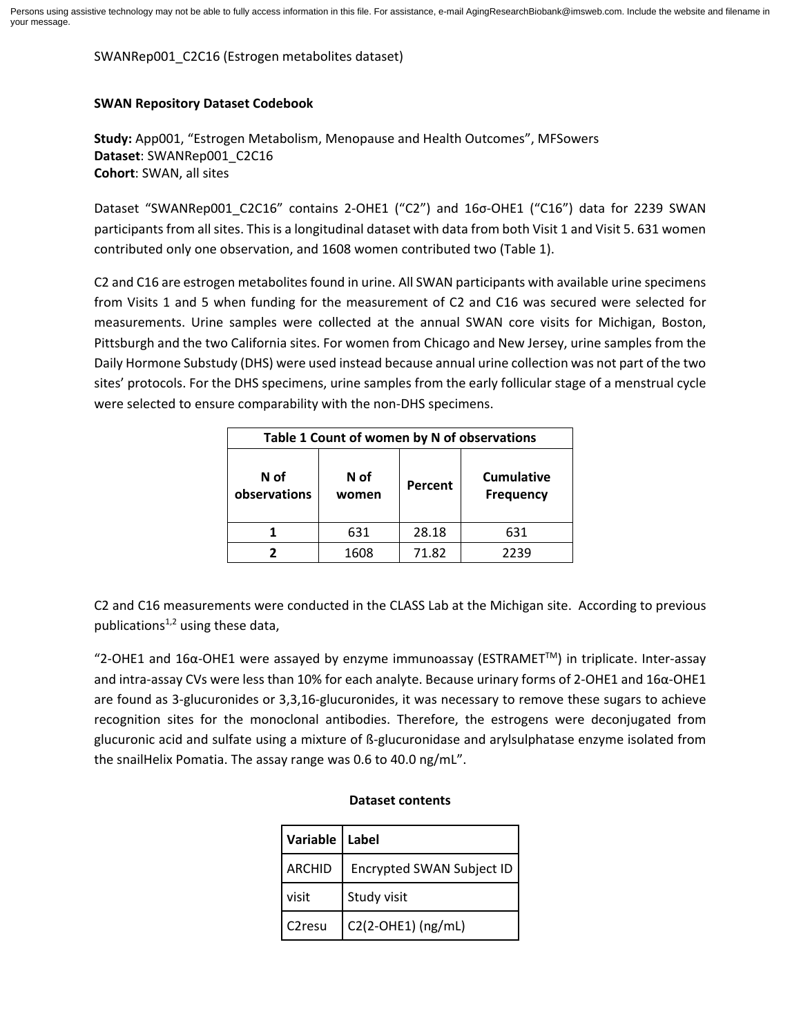SWANRep001\_C2C16 (Estrogen metabolites dataset)

## **SWAN Repository Dataset Codebook**

**Study:** App001, "Estrogen Metabolism, Menopause and Health Outcomes", MFSowers **Dataset**: SWANRep001\_C2C16 **Cohort**: SWAN, all sites

Dataset "SWANRep001\_C2C16" contains 2-OHE1 ("C2") and 16σ-OHE1 ("C16") data for 2239 SWAN participants from all sites. This is a longitudinal dataset with data from both Visit 1 and Visit 5. 631 women contributed only one observation, and 1608 women contributed two (Table 1).

C2 and C16 are estrogen metabolites found in urine. All SWAN participants with available urine specimens from Visits 1 and 5 when funding for the measurement of C2 and C16 was secured were selected for measurements. Urine samples were collected at the annual SWAN core visits for Michigan, Boston, Pittsburgh and the two California sites. For women from Chicago and New Jersey, urine samples from the Daily Hormone Substudy (DHS) were used instead because annual urine collection was not part of the two sites' protocols. For the DHS specimens, urine samples from the early follicular stage of a menstrual cycle were selected to ensure comparability with the non-DHS specimens.

| Table 1 Count of women by N of observations |               |         |                                       |
|---------------------------------------------|---------------|---------|---------------------------------------|
| N of<br>observations                        | N of<br>women | Percent | <b>Cumulative</b><br><b>Frequency</b> |
|                                             | 631           | 28.18   | 631                                   |
|                                             | 1608          | 71.82   | 2239                                  |

C2 and C16 measurements were conducted in the CLASS Lab at the Michigan site. According to previous publications $1,2$  using these data,

"2-OHE1 and 16α-OHE1 were assayed by enzyme immunoassay (ESTRAMETTM) in triplicate. Inter-assay and intra-assay CVs were less than 10% for each analyte. Because urinary forms of 2-OHE1 and 16α-OHE1 are found as 3-glucuronides or 3,3,16-glucuronides, it was necessary to remove these sugars to achieve recognition sites for the monoclonal antibodies. Therefore, the estrogens were deconjugated from glucuronic acid and sulfate using a mixture of ß-glucuronidase and arylsulphatase enzyme isolated from the snailHelix Pomatia. The assay range was 0.6 to 40.0 ng/mL".

## **Dataset contents**

| Variable   Label    |                           |  |
|---------------------|---------------------------|--|
| ARCHID              | Encrypted SWAN Subject ID |  |
| visit               | Study visit               |  |
| C <sub>2</sub> resu | C2(2-OHE1) (ng/mL)        |  |